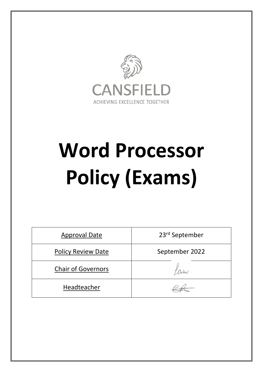

# **Word Processor Policy (Exams)**

| <b>Approval Date</b>      | 23rd September |
|---------------------------|----------------|
| <b>Policy Review Date</b> | September 2022 |
| <b>Chair of Governors</b> |                |
| Headteacher               |                |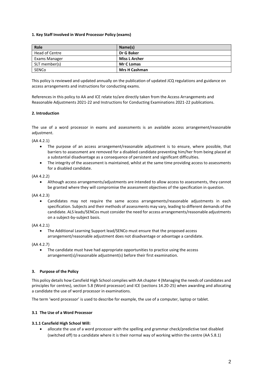## **1. Key Staff Involved in Word Processor Policy (exams)**

| Role           | Name(s)              |
|----------------|----------------------|
| Head of Centre | Dr G Baker           |
| Exams Manager  | <b>Miss L Archer</b> |
| SLT member(s)  | <b>Mr C Lomas</b>    |
| SENCo          | <b>Mrs H Cashman</b> |

This policy is reviewed and updated annually on the publication of updated JCQ regulations and guidance on access arrangements and instructions for conducting exams.

References in this policy to AA and ICE relate to/are directly taken from the Access Arrangements and Reasonable Adjustments 2021-22 and Instructions for Conducting Examinations 2021-22 publications.

## **2. Introduction**

The use of a word processor in exams and assessments is an available access arrangement/reasonable adiustment.

(AA 4.2.1)

- The purpose of an access arrangement/reasonable adjustment is to ensure, where possible, that barriers to assessment are removed for a disabled candidate preventing him/her from being placed at a substantial disadvantage as a consequence of persistent and significant difficulties.
- The integrity of the assessment is maintained, whilst at the same time providing access to assessments for a disabled candidate.

#### (AA 4.2.2)

 Although access arrangements/adjustments are intended to allow access to assessments, they cannot be granted where they will compromise the assessment objectives of the specification in question.

(AA 4.2.3)

 Candidates may not require the same access arrangements/reasonable adjustments in each specification. Subjects and their methods of assessments may vary, leading to different demands of the candidate. ALS leads/SENCos must consider the need for access arrangements/reasonable adjustments on a subject-by-subject basis.

#### (AA 4.2.1)

 The Additional Learning Support lead/SENCo must ensure that the proposed access arrangement/reasonable adjustment does not disadvantage or advantage a candidate.

(AA 4.2.7)

• The candidate must have had appropriate opportunities to practice using the access arrangement(s)/reasonable adjustment(s) before their first examination.

#### **3. Purpose of the Policy**

This policy details how Cansfield High School complies with AA chapter 4 (Managing the needs of candidates and principles for centres), section 5.8 (Word processor) and ICE (sections 14.20-25) when awarding and allocating a candidate the use of word processor in examinations.

The term 'word processor' is used to describe for example, the use of a computer, laptop or tablet.

#### **3.1 The Use of a Word Processor**

#### **3.1.1 Cansfield High School Will:**

 allocate the use of a word processor with the spelling and grammar check/predictive text disabled (switched off) to a candidate where it is their normal way of working within the centre (AA 5.8.1)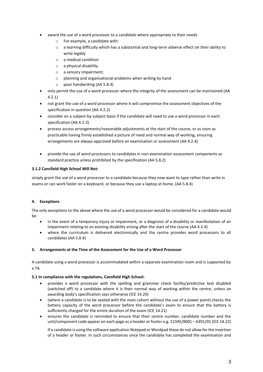- award the use of a word processor to a candidate where appropriate to their needs
	- o For example, a candidate with:
	- $\circ$  a learning difficulty which has a substantial and long-term adverse effect on their ability to write legibly
	- o a medical condition
	- o a physical disability
	- o a sensory impairment;
	- $\circ$  planning and organisational problems when writing by hand
	- o poor handwriting (AA 5.8.4)
- only permit the use of a word processor where the integrity of the assessment can be maintained (AA 4.2.1)
- not grant the use of a word processor where it will compromise the assessment objectives of the specification in question (AA 4.2.2)
- consider on a subject-by-subject basis if the candidate will need to use a word processor in each specification (AA 4.2.3)
- process access arrangements/reasonable adjustments at the start of the course, or as soon as practicable having firmly established a picture of need and normal way of working, ensuring arrangements are always approved before an examination or assessment (AA 4.2.4)
- provide the use of word processors to candidates in non-examination assessment components as standard practice unless prohibited by the specification (AA 5.8.2)

# **3.1.2 Cansfield High School Will Not:**

simply grant the use of a word processor to a candidate because they now want to type rather than write in exams or can work faster on a keyboard, or because they use a laptop at home. (AA 5.8.4)

# **4. Exceptions**

The only exceptions to the above where the use of a word processor would be considered for a candidate would be

- in the event of a temporary injury or impairment, or a diagnosis of a disability or manifestation of an impairment relating to an existing disability arising after the start of the course (AA 4.2.4)
- where the curriculum is delivered electronically and the centre provides word processors to all candidates (AA 5.8.4)

# **5. Arrangements at the Time of the Assessment for the Use of a Word Processor**

A candidate using a word processor is accommodated within a separate examination room and is supported by a TA.

# **5.1 In compliance with the regulations, Cansfield High School:**

- provides a word processor with the spelling and grammar check facility/predictive text disabled (switched off) to a candidate where it is their normal way of working within the centre, unless an awarding body's specification says otherwise (ICE 14.20)
- (where a candidate is to be seated with the main cohort without the use of a power point) checks the battery capacity of the word processor before the candidate's exam to ensure that the battery is sufficiently charged for the entire duration of the exam (ICE 14.21)
- ensures the candidate is reminded to ensure that their centre number, candidate number and the unit/component code appear on each page as a header or footer e.g. 12345/8001 – 6391/01 (ICE 14.22)

If a candidate is using the software application Notepad or Wordpad these do not allow for the insertion of a header or footer. In such circumstances once the candidate has completed the examination and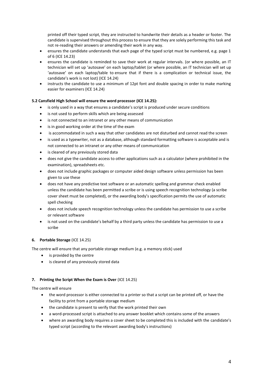printed off their typed script, they are instructed to handwrite their details as a header or footer. The candidate is supervised throughout this process to ensure that they are solely performing this task and not re-reading their answers or amending their work in any way.

- ensures the candidate understands that each page of the typed script must be numbered, e.g. page 1 of 6 (ICE 14.23)
- ensures the candidate is reminded to save their work at regular intervals. (or where possible, an IT technician will set up 'autosave' on each laptop/tablet (or where possible, an IT technician will set up 'autosave' on each laptop/table to ensure that if there is a complication or technical issue, the candidate's work is not lost) (ICE 14.24)
- instructs the candidate to use a minimum of 12pt font and double spacing in order to make marking easier for examiners (ICE 14.24)

# **5.2 Cansfield High School will ensure the word processor (ICE 14.25):**

- is only used in a way that ensures a candidate's script is produced under secure conditions
- is not used to perform skills which are being assessed
- is not connected to an intranet or any other means of communication
- is in good working order at the time of the exam
- is accommodated in such a way that other candidates are not disturbed and cannot read the screen
- is used as a typewriter, not as a database, although standard formatting software is acceptable and is not connected to an intranet or any other means of communication
- is cleared of any previously stored data
- does not give the candidate access to other applications such as a calculator (where prohibited in the examination), spreadsheets etc.
- does not include graphic packages or computer aided design software unless permission has been given to use these
- does not have any predictive text software or an automatic spelling and grammar check enabled unless the candidate has been permitted a scribe or is using speech recognition technology (a scribe cover sheet must be completed), or the awarding body's specification permits the use of automatic spell checking
- does not include speech recognition technology unless the candidate has permission to use a scribe or relevant software
- is not used on the candidate's behalf by a third party unless the candidate has permission to use a scribe

# **6. Portable Storage** (ICE 14.25)

The centre will ensure that any portable storage medium (e.g. a memory stick) used

- is provided by the centre
- is cleared of any previously stored data

# **7. Printing the Script When the Exam is Over** (ICE 14.25)

The centre will ensure

- the word processor is either connected to a printer so that a script can be printed off, or have the facility to print from a portable storage medium
- the candidate is present to verify that the work printed their own
- a word-processed script is attached to any answer booklet which contains some of the answers
- where an awarding body requires a cover sheet to be completed this is included with the candidate's typed script (according to the relevant awarding body's instructions)